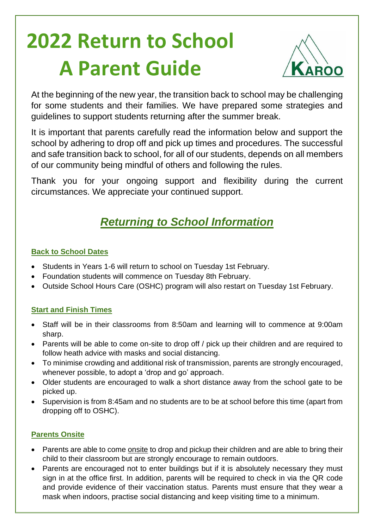# **2022 Return to School A Parent Guide**



At the beginning of the new year, the transition back to school may be challenging for some students and their families. We have prepared some strategies and guidelines to support students returning after the summer break.

It is important that parents carefully read the information below and support the school by adhering to drop off and pick up times and procedures. The successful and safe transition back to school, for all of our students, depends on all members of our community being mindful of others and following the rules.

Thank you for your ongoing support and flexibility during the current circumstances. We appreciate your continued support.

# *Returning to School Information*

## **Back to School Dates**

- Students in Years 1-6 will return to school on Tuesday 1st February.
- Foundation students will commence on Tuesday 8th February.
- Outside School Hours Care (OSHC) program will also restart on Tuesday 1st February.

# **Start and Finish Times**

- Staff will be in their classrooms from 8:50am and learning will to commence at 9:00am sharp.
- Parents will be able to come on-site to drop off / pick up their children and are required to follow heath advice with masks and social distancing.
- To minimise crowding and additional risk of transmission, parents are strongly encouraged, whenever possible, to adopt a 'drop and go' approach.
- Older students are encouraged to walk a short distance away from the school gate to be picked up.
- Supervision is from 8:45am and no students are to be at school before this time (apart from dropping off to OSHC).

# **Parents Onsite**

- Parents are able to come onsite to drop and pickup their children and are able to bring their child to their classroom but are strongly encourage to remain outdoors.
- Parents are encouraged not to enter buildings but if it is absolutely necessary they must sign in at the office first. In addition, parents will be required to check in via the QR code and provide evidence of their vaccination status. Parents must ensure that they wear a mask when indoors, practise social distancing and keep visiting time to a minimum.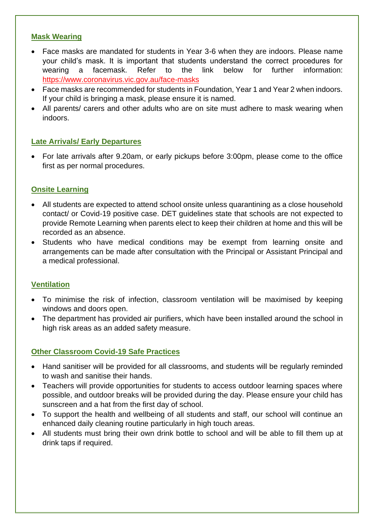#### **Mask Wearing**

- Face masks are mandated for students in Year 3-6 when they are indoors. Please name your child's mask. It is important that students understand the correct procedures for wearing a facemask. Refer to the link below for further information: <https://www.coronavirus.vic.gov.au/face-masks>
- Face masks are recommended for students in Foundation, Year 1 and Year 2 when indoors. If your child is bringing a mask, please ensure it is named.
- All parents/ carers and other adults who are on site must adhere to mask wearing when indoors.

#### **Late Arrivals/ Early Departures**

• For late arrivals after 9.20am, or early pickups before 3:00pm, please come to the office first as per normal procedures.

#### **Onsite Learning**

- All students are expected to attend school onsite unless quarantining as a close household contact/ or Covid-19 positive case. DET guidelines state that schools are not expected to provide Remote Learning when parents elect to keep their children at home and this will be recorded as an absence.
- Students who have medical conditions may be exempt from learning onsite and arrangements can be made after consultation with the Principal or Assistant Principal and a medical professional.

#### **Ventilation**

- To minimise the risk of infection, classroom ventilation will be maximised by keeping windows and doors open.
- The department has provided air purifiers, which have been installed around the school in high risk areas as an added safety measure.

#### **Other Classroom Covid-19 Safe Practices**

- Hand sanitiser will be provided for all classrooms, and students will be regularly reminded to wash and sanitise their hands.
- Teachers will provide opportunities for students to access outdoor learning spaces where possible, and outdoor breaks will be provided during the day. Please ensure your child has sunscreen and a hat from the first day of school.
- To support the health and wellbeing of all students and staff, our school will continue an enhanced daily cleaning routine particularly in high touch areas.
- All students must bring their own drink bottle to school and will be able to fill them up at drink taps if required.